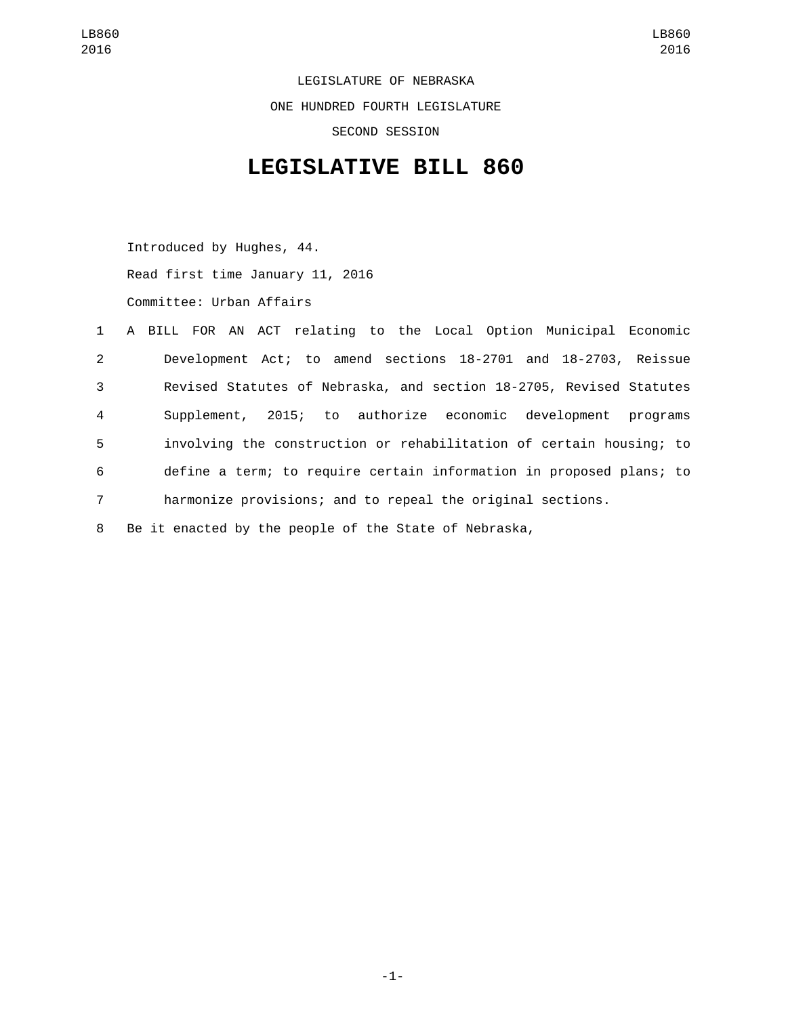LEGISLATURE OF NEBRASKA ONE HUNDRED FOURTH LEGISLATURE SECOND SESSION

## **LEGISLATIVE BILL 860**

Introduced by Hughes, 44. Read first time January 11, 2016 Committee: Urban Affairs

|                | 1 A BILL FOR AN ACT relating to the Local Option Municipal Economic |
|----------------|---------------------------------------------------------------------|
| $2^{\circ}$    | Development Act; to amend sections 18-2701 and 18-2703, Reissue     |
| 3              | Revised Statutes of Nebraska, and section 18-2705, Revised Statutes |
| 4              | Supplement, 2015; to authorize economic development programs        |
| 5              | involving the construction or rehabilitation of certain housing; to |
| 6              | define a term; to require certain information in proposed plans; to |
| $\overline{7}$ | harmonize provisions; and to repeal the original sections.          |
|                |                                                                     |

8 Be it enacted by the people of the State of Nebraska,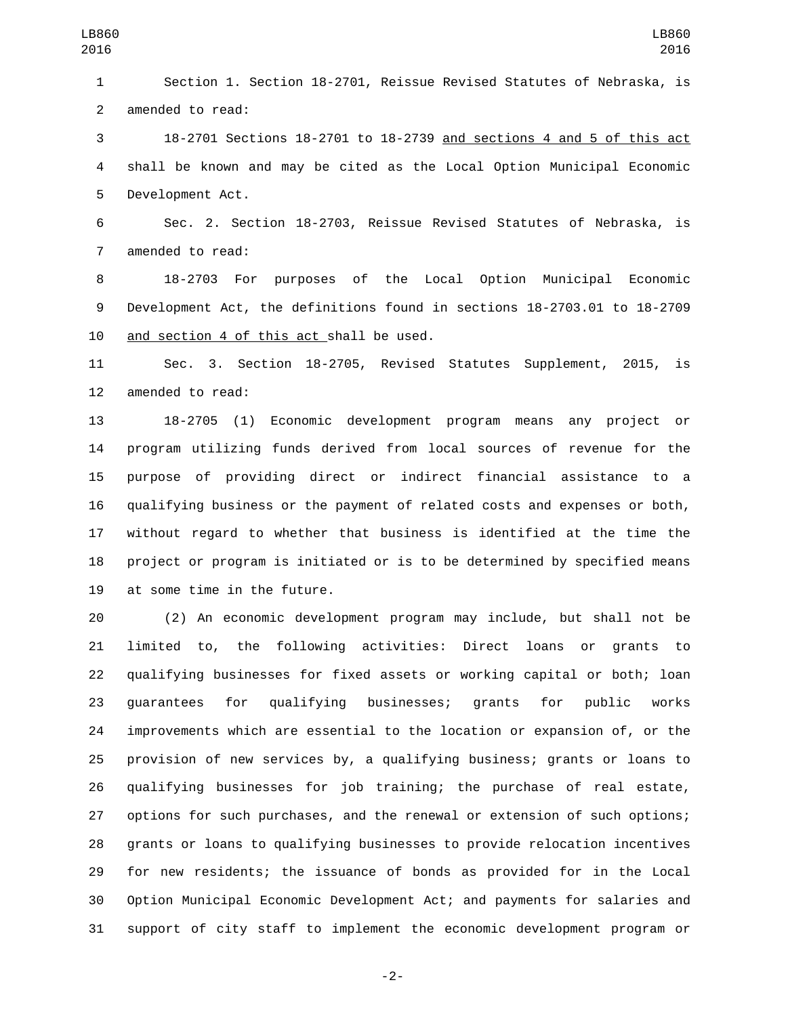Section 1. Section 18-2701, Reissue Revised Statutes of Nebraska, is 2 amended to read:

 18-2701 Sections 18-2701 to 18-2739 and sections 4 and 5 of this act shall be known and may be cited as the Local Option Municipal Economic 5 Development Act.

 Sec. 2. Section 18-2703, Reissue Revised Statutes of Nebraska, is 7 amended to read:

 18-2703 For purposes of the Local Option Municipal Economic Development Act, the definitions found in sections 18-2703.01 to 18-2709 10 and section 4 of this act shall be used.

 Sec. 3. Section 18-2705, Revised Statutes Supplement, 2015, is 12 amended to read:

 18-2705 (1) Economic development program means any project or program utilizing funds derived from local sources of revenue for the purpose of providing direct or indirect financial assistance to a qualifying business or the payment of related costs and expenses or both, without regard to whether that business is identified at the time the project or program is initiated or is to be determined by specified means 19 at some time in the future.

 (2) An economic development program may include, but shall not be limited to, the following activities: Direct loans or grants to qualifying businesses for fixed assets or working capital or both; loan guarantees for qualifying businesses; grants for public works improvements which are essential to the location or expansion of, or the provision of new services by, a qualifying business; grants or loans to qualifying businesses for job training; the purchase of real estate, options for such purchases, and the renewal or extension of such options; grants or loans to qualifying businesses to provide relocation incentives for new residents; the issuance of bonds as provided for in the Local Option Municipal Economic Development Act; and payments for salaries and support of city staff to implement the economic development program or

-2-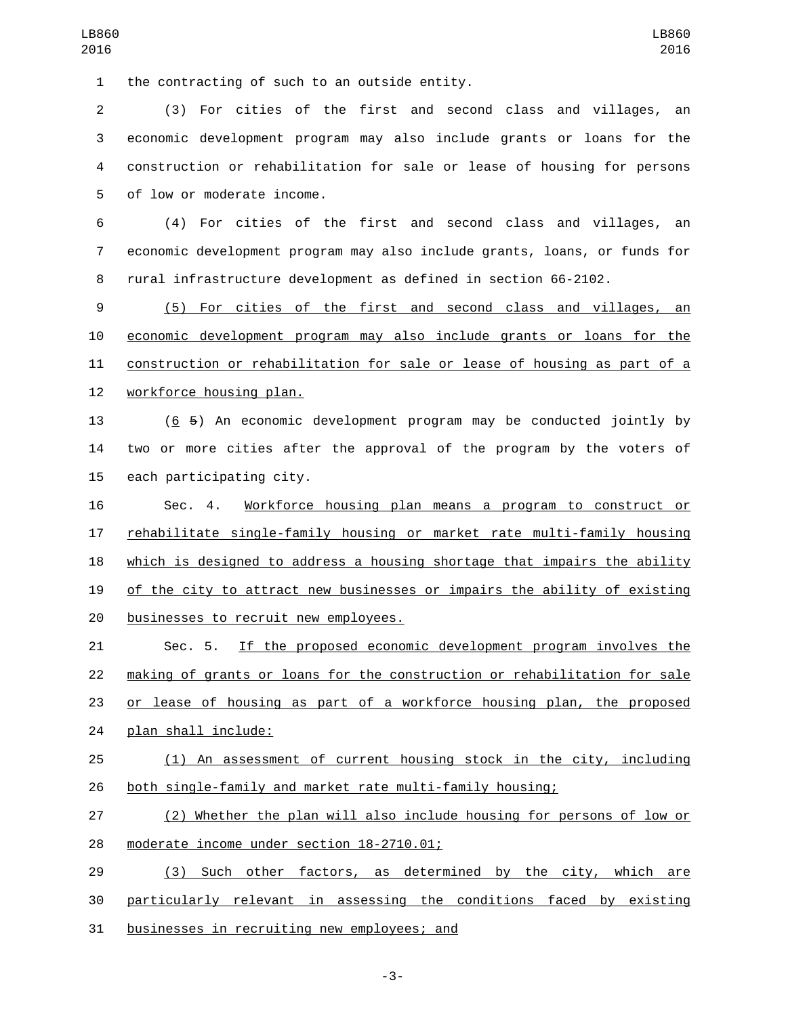the contracting of such to an outside entity.

 (3) For cities of the first and second class and villages, an economic development program may also include grants or loans for the construction or rehabilitation for sale or lease of housing for persons 5 of low or moderate income.

 (4) For cities of the first and second class and villages, an economic development program may also include grants, loans, or funds for rural infrastructure development as defined in section 66-2102.

 (5) For cities of the first and second class and villages, an economic development program may also include grants or loans for the construction or rehabilitation for sale or lease of housing as part of a 12 workforce housing plan.

 (6 5) An economic development program may be conducted jointly by two or more cities after the approval of the program by the voters of 15 each participating city.

 Sec. 4. Workforce housing plan means a program to construct or rehabilitate single-family housing or market rate multi-family housing which is designed to address a housing shortage that impairs the ability of the city to attract new businesses or impairs the ability of existing 20 businesses to recruit new employees.

 Sec. 5. If the proposed economic development program involves the making of grants or loans for the construction or rehabilitation for sale or lease of housing as part of a workforce housing plan, the proposed 24 plan shall include:

 (1) An assessment of current housing stock in the city, including both single-family and market rate multi-family housing;

 (2) Whether the plan will also include housing for persons of low or 28 moderate income under section 18-2710.01;

 (3) Such other factors, as determined by the city, which are particularly relevant in assessing the conditions faced by existing 31 businesses in recruiting new employees; and